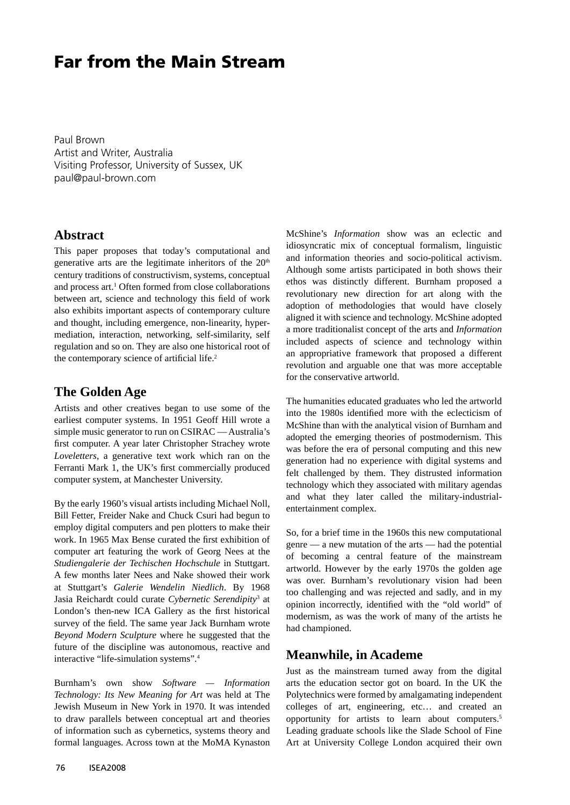# **Far from the Main Stream**

Paul Brown Artist and Writer, Australia Visiting Professor, University of Sussex, UK paul@paul-brown.com

## **Abstract**

This paper proposes that today's computational and generative arts are the legitimate inheritors of the 20<sup>th</sup> century traditions of constructivism, systems, conceptual and process art.<sup>1</sup> Often formed from close collaborations between art, science and technology this field of work also exhibits important aspects of contemporary culture and thought, including emergence, non-linearity, hypermediation, interaction, networking, self-similarity, self regulation and so on. They are also one historical root of the contemporary science of artificial life.<sup>2</sup>

## **The Golden Age**

Artists and other creatives began to use some of the earliest computer systems. In 1951 Geoff Hill wrote a simple music generator to run on CSIRAC — Australia's first computer. A year later Christopher Strachey wrote *Loveletters*, a generative text work which ran on the Ferranti Mark 1, the UK's first commercially produced computer system, at Manchester University.

By the early 1960's visual artists including Michael Noll, Bill Fetter, Freider Nake and Chuck Csuri had begun to employ digital computers and pen plotters to make their work. In 1965 Max Bense curated the first exhibition of computer art featuring the work of Georg Nees at the *Studiengalerie der Techischen Hochschule* in Stuttgart. A few months later Nees and Nake showed their work at Stuttgart's *Galerie Wendelin Niedlich*. By 1968 Jasia Reichardt could curate *Cybernetic Serendipity*<sup>3</sup> at London's then-new ICA Gallery as the first historical survey of the field. The same year Jack Burnham wrote *Beyond Modern Sculpture* where he suggested that the future of the discipline was autonomous, reactive and interactive "life-simulation systems".4

Burnham's own show *Software — Information Technology: Its New Meaning for Art* was held at The Jewish Museum in New York in 1970. It was intended to draw parallels between conceptual art and theories of information such as cybernetics, systems theory and formal languages. Across town at the MoMA Kynaston

McShine's *Information* show was an eclectic and idiosyncratic mix of conceptual formalism, linguistic and information theories and socio-political activism. Although some artists participated in both shows their ethos was distinctly different. Burnham proposed a revolutionary new direction for art along with the adoption of methodologies that would have closely aligned it with science and technology. McShine adopted a more traditionalist concept of the arts and *Information* included aspects of science and technology within an appropriative framework that proposed a different revolution and arguable one that was more acceptable for the conservative artworld.

The humanities educated graduates who led the artworld into the 1980s identified more with the eclecticism of McShine than with the analytical vision of Burnham and adopted the emerging theories of postmodernism. This was before the era of personal computing and this new generation had no experience with digital systems and felt challenged by them. They distrusted information technology which they associated with military agendas and what they later called the military-industrialentertainment complex.

So, for a brief time in the 1960s this new computational genre — a new mutation of the arts — had the potential of becoming a central feature of the mainstream artworld. However by the early 1970s the golden age was over. Burnham's revolutionary vision had been too challenging and was rejected and sadly, and in my opinion incorrectly, identified with the "old world" of modernism, as was the work of many of the artists he had championed.

### **Meanwhile, in Academe**

Just as the mainstream turned away from the digital arts the education sector got on board. In the UK the Polytechnics were formed by amalgamating independent colleges of art, engineering, etc… and created an opportunity for artists to learn about computers.5 Leading graduate schools like the Slade School of Fine Art at University College London acquired their own